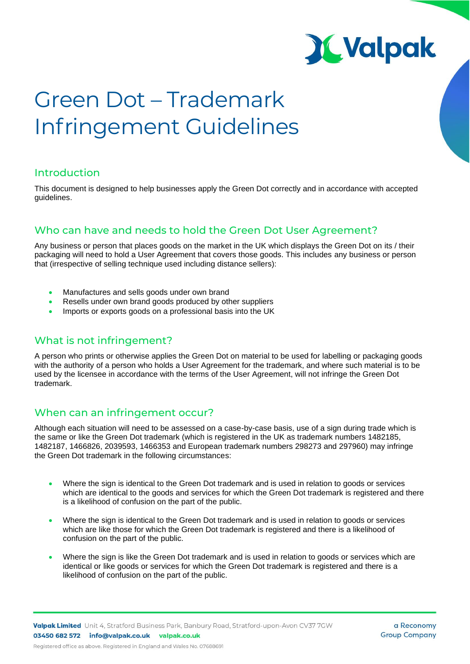

# **Green Dot – Trademark Infringement Guidelines**

# Introduction

This document is designed to help businesses apply the Green Dot correctly and in accordance with accepted guidelines.

# Who can have and needs to hold the Green Dot User Agreement?

Any business or person that places goods on the market in the UK which displays the Green Dot on its / their packaging will need to hold a User Agreement that covers those goods. This includes any business or person that (irrespective of selling technique used including distance sellers):

- Manufactures and sells goods under own brand
- Resells under own brand goods produced by other suppliers
- Imports or exports goods on a professional basis into the UK

# What is not infringement?

A person who prints or otherwise applies the Green Dot on material to be used for labelling or packaging goods with the authority of a person who holds a User Agreement for the trademark, and where such material is to be used by the licensee in accordance with the terms of the User Agreement, will not infringe the Green Dot trademark.

# When can an infringement occur?

Although each situation will need to be assessed on a case-by-case basis, use of a sign during trade which is the same or like the Green Dot trademark (which is registered in the UK as trademark numbers 1482185, 1482187, 1466826, 2039593, 1466353 and European trademark numbers 298273 and 297960) may infringe the Green Dot trademark in the following circumstances:

- Where the sign is identical to the Green Dot trademark and is used in relation to goods or services which are identical to the goods and services for which the Green Dot trademark is registered and there is a likelihood of confusion on the part of the public.
- Where the sign is identical to the Green Dot trademark and is used in relation to goods or services which are like those for which the Green Dot trademark is registered and there is a likelihood of confusion on the part of the public.
- Where the sign is like the Green Dot trademark and is used in relation to goods or services which are identical or like goods or services for which the Green Dot trademark is registered and there is a likelihood of confusion on the part of the public.